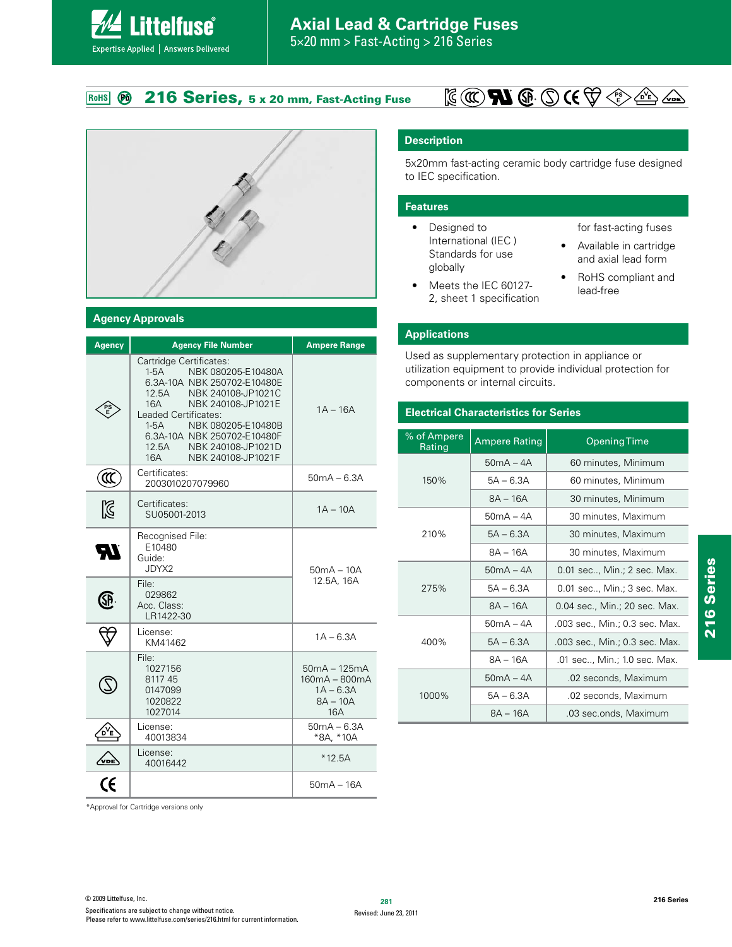5×20 mm > Fast-Acting > 216 Series

#### **216 Series, 5 x 20 mm, Fast-Acting Fuse** RoHS Ø

**Littelfuse**®

Expertise Applied | Answers Delivered



#### **Agency Approvals**

| <b>Agency</b> | <b>Agency File Number</b>                                                                                                                                                                                                                                                                             | <b>Ampere Range</b>                                                        |
|---------------|-------------------------------------------------------------------------------------------------------------------------------------------------------------------------------------------------------------------------------------------------------------------------------------------------------|----------------------------------------------------------------------------|
|               | Cartridge Certificates:<br>NBK 080205-E10480A<br>$1-5A$<br>6.3A-10A NBK 250702-E10480E<br>NBK 240108-JP1021C<br>12.5A<br>NBK 240108-JP1021E<br>16A<br>Leaded Certificates:<br>$1-5A$<br>NBK 080205-E10480B<br>6.3A-10A NBK 250702-E10480F<br>12.5A<br>NBK 240108-JP1021D<br>NBK 240108-JP1021F<br>16A | $1A - 16A$                                                                 |
| ั0            | Certificates:<br>2003010207079960                                                                                                                                                                                                                                                                     | $50mA - 6.3A$                                                              |
| Ñ             | Certificates:<br>SU05001-2013                                                                                                                                                                                                                                                                         | $1A - 10A$                                                                 |
| 51            | Recognised File:<br>E10480<br>Guide:<br>JDYX2                                                                                                                                                                                                                                                         | $50mA - 10A$                                                               |
|               | File:<br>029862<br>Acc. Class:<br>LR1422-30                                                                                                                                                                                                                                                           | 12.5A, 16A                                                                 |
|               | License:<br>KM41462                                                                                                                                                                                                                                                                                   | $1A - 6.3A$                                                                |
|               | File:<br>1027156<br>811745<br>0147099<br>1020822<br>1027014                                                                                                                                                                                                                                           | $50mA - 125mA$<br>160mA - 800mA<br>$1A - 6.3A$<br>$8A - 10A$<br><b>16A</b> |
|               | License:<br>40013834                                                                                                                                                                                                                                                                                  | $50mA - 6.3A$<br>*8A. *10A                                                 |
|               | License:<br>40016442                                                                                                                                                                                                                                                                                  | $*12.5A$                                                                   |
|               |                                                                                                                                                                                                                                                                                                       | 50mA – 16A                                                                 |

### **Description**

5x20mm fast-acting ceramic body cartridge fuse designed to IEC specification.

#### **Features**

- Designed to International (IEC ) Standards for use globally
- $\bullet$  Meets the IEC 60127-2, sheet 1 specification

for fast-acting fuses

• Available in cartridge and axial lead form

**PS E**

• RoHS compliant and lead-free

#### **Applications**

Used as supplementary protection in appliance or utilization equipment to provide individual protection for components or internal circuits.

#### **Electrical Characteristics for Series**

| % of Ampere<br>Rating | <b>Ampere Rating</b> | <b>Opening Time</b>            |  |  |  |  |
|-----------------------|----------------------|--------------------------------|--|--|--|--|
|                       | $50mA - 4A$          | 60 minutes, Minimum            |  |  |  |  |
| 150%                  | $5A - 6.3A$          | 60 minutes, Minimum            |  |  |  |  |
|                       | $RA - 16A$           | 30 minutes, Minimum            |  |  |  |  |
|                       | $50mA - 4A$          | 30 minutes, Maximum            |  |  |  |  |
| 210%                  | $5A - 6.3A$          | 30 minutes, Maximum            |  |  |  |  |
|                       | 8A - 16A             | 30 minutes, Maximum            |  |  |  |  |
|                       | $50mA - 4A$          | 0.01 sec, Min.; 2 sec. Max.    |  |  |  |  |
| 275%                  | $5A - 6.3A$          | 0.01 sec, Min.; 3 sec. Max.    |  |  |  |  |
|                       | $8A - 16A$           | 0.04 sec., Min.; 20 sec. Max.  |  |  |  |  |
|                       | $50mA - 4A$          | .003 sec., Min.; 0.3 sec. Max. |  |  |  |  |
| 400%                  | $5A - 6.3A$          | .003 sec., Min.; 0.3 sec. Max. |  |  |  |  |
|                       | $8A - 16A$           | .01 sec, Min.; 1.0 sec. Max.   |  |  |  |  |
|                       | $50mA - 4A$          | .02 seconds, Maximum           |  |  |  |  |
| 1000%                 | $5A - 6.3A$          | .02 seconds, Maximum           |  |  |  |  |
|                       | $8A - 16A$           | .03 sec.onds, Maximum          |  |  |  |  |

\*Approval for Cartridge versions only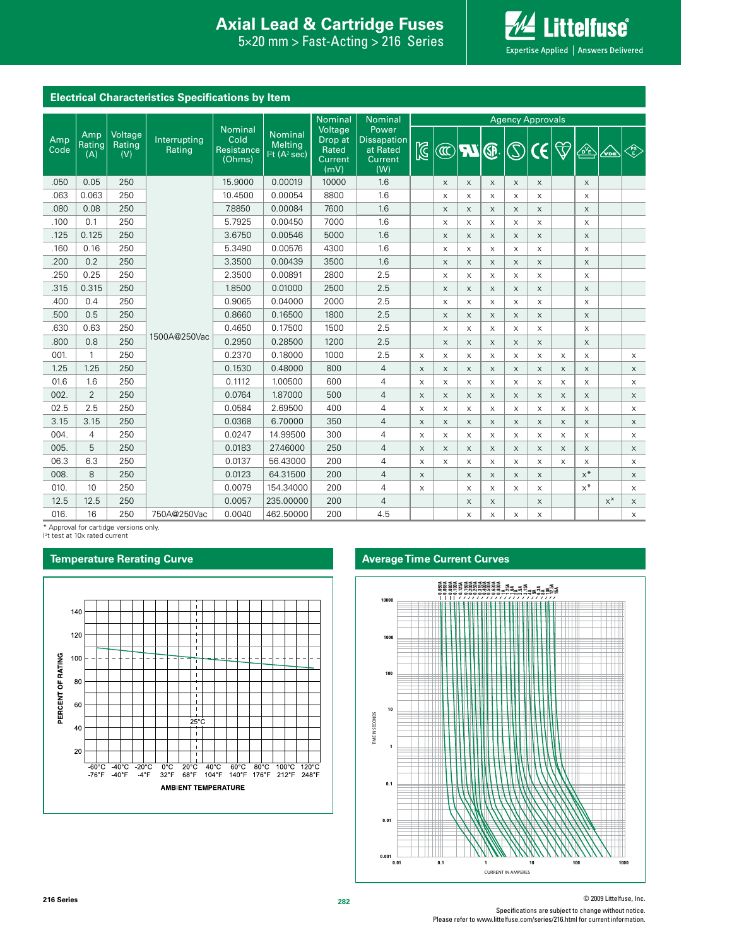# **Interproduction Interacts Axial Lead & Cartridge Fuses**

 $5\times20$  mm > Fast-Acting > 216 Series



| Electrical Unaracteristics Specifications by Item |                                    |              |                                                       |                                                                                                                     |                                                           |              |                |                         |                           |                           |                           |                           |                           |                     |                                                                                |       |              |
|---------------------------------------------------|------------------------------------|--------------|-------------------------------------------------------|---------------------------------------------------------------------------------------------------------------------|-----------------------------------------------------------|--------------|----------------|-------------------------|---------------------------|---------------------------|---------------------------|---------------------------|---------------------------|---------------------|--------------------------------------------------------------------------------|-------|--------------|
|                                                   |                                    |              |                                                       | <b>Nominal</b><br>Nominal<br>Cold<br><b>Melting</b><br>Resistance<br>1 <sup>2</sup> t(A <sup>2</sup> sec)<br>(Ohms) |                                                           | Nominal      | Nominal        | <b>Agency Approvals</b> |                           |                           |                           |                           |                           |                     |                                                                                |       |              |
| Amp<br>Amp<br>Rating<br>Code<br>(A)               | Voltage<br>Rating<br>Rating<br>(V) | Interrupting | Voltage<br>Drop at<br>Rated<br><b>Current</b><br>(mV) |                                                                                                                     | Power<br><b>Dissapation</b><br>at Rated<br>Current<br>(W) | $\mathbb{Z}$ | $^{\circledR}$ | <b>RZ</b>               | ®                         | $\widehat{\mathcal{O}}$   | $\mathbf{\hat{G}}$        | $\bigtriangledown$        | $\sqrt{\Delta E}$         | $\sqrt{\mathbf{C}}$ | $\left\langle \begin{matrix} \text{PS} \ \text{ES} \end{matrix} \right\rangle$ |       |              |
| .050                                              | 0.05                               | 250          |                                                       | 15.9000                                                                                                             | 0.00019                                                   | 10000        | 1.6            |                         | $\times$                  | X                         | $\times$                  | $\times$                  | $\times$                  |                     | $\times$                                                                       |       |              |
| .063                                              | 0.063                              | 250          |                                                       | 10.4500                                                                                                             | 0.00054                                                   | 8800         | 1.6            |                         | X                         | $\times$                  | X                         | X                         | X                         |                     | $\mathsf X$                                                                    |       |              |
| .080                                              | 0.08                               | 250          |                                                       | 7.8850                                                                                                              | 0.00084                                                   | 7600         | 1.6            |                         | $\mathsf{X}$              | X                         | $\boldsymbol{\mathsf{X}}$ | $\times$                  | $\times$                  |                     | $\times$                                                                       |       |              |
| .100                                              | 0.1                                | 250          |                                                       | 5.7925                                                                                                              | 0.00450                                                   | 7000         | 1.6            |                         | X                         | X                         | $\times$                  | X                         | $\times$                  |                     | $\mathsf{x}$                                                                   |       |              |
| .125                                              | 0.125                              | 250          |                                                       | 3.6750                                                                                                              | 0.00546                                                   | 5000         | 1.6            |                         | $\times$                  | $\times$                  | $\times$                  | $\times$                  | $\times$                  |                     | $\times$                                                                       |       |              |
| .160                                              | 0.16                               | 250          |                                                       | 5.3490                                                                                                              | 0.00576                                                   | 4300         | 1.6            |                         | $\times$                  | $\times$                  | $\times$                  | $\times$                  | $\times$                  |                     | $\mathsf{x}$                                                                   |       |              |
| .200                                              | 0.2                                | 250          |                                                       | 3.3500                                                                                                              | 0.00439                                                   | 3500         | 1.6            |                         | X                         | X                         | X                         | $\boldsymbol{\mathsf{X}}$ | X                         |                     | X                                                                              |       |              |
| .250                                              | 0.25                               | 250          |                                                       | 2.3500                                                                                                              | 0.00891                                                   | 2800         | 2.5            |                         | $\mathsf{x}$              | $\times$                  | $\times$                  | $\times$                  | $\times$                  |                     | $\mathsf{X}$                                                                   |       |              |
| .315                                              | 0.315                              | 250          |                                                       | 1.8500                                                                                                              | 0.01000                                                   | 2500         | 2.5            |                         | $\boldsymbol{\mathsf{X}}$ | $\boldsymbol{\mathsf{X}}$ | $\times$                  | $\boldsymbol{\mathsf{X}}$ | $\boldsymbol{\mathsf{X}}$ |                     | $\mathsf X$                                                                    |       |              |
| .400                                              | 0.4                                | 250          |                                                       | 0.9065                                                                                                              | 0.04000                                                   | 2000         | 2.5            |                         | X                         | X                         | X                         | X                         | $\boldsymbol{\mathsf{X}}$ |                     | X                                                                              |       |              |
| .500                                              | 0.5                                | 250          |                                                       | 0.8660                                                                                                              | 0.16500                                                   | 1800         | 2.5            |                         | X                         | $\mathsf X$               | $\boldsymbol{\mathsf{X}}$ | $\boldsymbol{\mathsf{X}}$ | $\boldsymbol{\mathsf{X}}$ |                     | $\mathsf X$                                                                    |       |              |
| .630                                              | 0.63                               | 250          |                                                       | 0.4650                                                                                                              | 0.17500                                                   | 1500         | 2.5            |                         | $\boldsymbol{\mathsf{X}}$ | $\times$                  | $\boldsymbol{\mathsf{X}}$ | $\boldsymbol{\mathsf{X}}$ | $\boldsymbol{\mathsf{X}}$ |                     | $\mathsf X$                                                                    |       |              |
| .800                                              | 0.8                                | 250          | 1500A@250Vac                                          | 0.2950                                                                                                              | 0.28500                                                   | 1200         | 2.5            |                         | $\mathsf X$               | $\times$                  | $\boldsymbol{\mathsf{X}}$ | $\boldsymbol{\mathsf{X}}$ | $\boldsymbol{\mathsf{X}}$ |                     | $\mathsf X$                                                                    |       |              |
| 001.                                              | $\mathbf{1}$                       | 250          |                                                       | 0.2370                                                                                                              | 0.18000                                                   | 1000         | 2.5            | $\times$                | $\times$                  | X                         | X                         | $\boldsymbol{\mathsf{X}}$ | $\times$                  | $\mathsf{X}$        | $\mathsf{X}$                                                                   |       | X            |
| 1.25                                              | 1.25                               | 250          |                                                       | 0.1530                                                                                                              | 0.48000                                                   | 800          | 4              | $\mathsf X$             | $\mathsf X$               | $\mathsf X$               | $\boldsymbol{\mathsf{X}}$ | $\boldsymbol{\mathsf{X}}$ | X                         | $\mathsf X$         | $\mathsf X$                                                                    |       | $\times$     |
| 01.6                                              | 1.6                                | 250          |                                                       | 0.1112                                                                                                              | 1.00500                                                   | 600          | 4              | X                       | $\boldsymbol{\mathsf{X}}$ | X                         | $\times$                  | $\boldsymbol{\mathsf{X}}$ | X                         | X                   | $\mathsf X$                                                                    |       | $\mathsf X$  |
| 002.                                              | $\overline{2}$                     | 250          |                                                       | 0.0764                                                                                                              | 1.87000                                                   | 500          | $\overline{4}$ | $\times$                | $\times$                  | X                         | X                         | $\times$                  | $\times$                  | $\times$            | $\times$                                                                       |       | $\mathsf{X}$ |
| 02.5                                              | 2.5                                | 250          |                                                       | 0.0584                                                                                                              | 2.69500                                                   | 400          | 4              | $\times$                | $\mathsf{x}$              | X                         | X                         | $\times$                  | X                         | $\times$            | $\mathsf{X}$                                                                   |       | $\mathsf X$  |
| 3.15                                              | 3.15                               | 250          |                                                       | 0.0368                                                                                                              | 6.70000                                                   | 350          | $\overline{4}$ | $\times$                | $\times$                  | X                         | $\times$                  | $\times$                  | X                         | $\times$            | $\times$                                                                       |       | $\times$     |
| 004.                                              | $\overline{4}$                     | 250          |                                                       | 0.0247                                                                                                              | 14.99500                                                  | 300          | 4              | X                       | X                         | X                         | X                         | X                         | X                         | $\times$            | X                                                                              |       | X            |
| 005.                                              | 5                                  | 250          |                                                       | 0.0183                                                                                                              | 27,46000                                                  | 250          | $\overline{4}$ | $\mathsf{X}$            | $\mathsf{X}$              | $\mathsf{X}$              | $\times$                  | $\times$                  | $\times$                  | $\times$            | $\mathsf{X}$                                                                   |       | $\times$     |
| 06.3                                              | 6.3                                | 250          |                                                       | 0.0137                                                                                                              | 56.43000                                                  | 200          | 4              | X                       | $\times$                  | X                         | $\times$                  | $\times$                  | X                         | $\times$            | $\mathsf{X}$                                                                   |       | $\mathsf X$  |
| 008.                                              | 8                                  | 250          |                                                       | 0.0123                                                                                                              | 64.31500                                                  | 200          | $\overline{4}$ | $\mathsf{X}$            |                           | $\mathsf{X}$              | $\boldsymbol{\mathsf{X}}$ | $\boldsymbol{\mathsf{X}}$ | X                         |                     | $x^*$                                                                          |       | $\times$     |
| 010.                                              | 10                                 | 250          |                                                       | 0.0079                                                                                                              | 154,34000                                                 | 200          | 4              | $\mathsf{X}$            |                           | $\times$                  | $\times$                  | $\times$                  | $\times$                  |                     | $x^*$                                                                          |       | $\mathsf X$  |
| 12.5                                              | 12.5                               | 250          |                                                       | 0.0057                                                                                                              | 235.00000                                                 | 200          | $\overline{4}$ |                         |                           | $\mathsf{X}$              | $\times$                  |                           | $\times$                  |                     |                                                                                | $x^*$ | $\mathsf X$  |
| 016.                                              | 16                                 | 250          | 750A@250Vac                                           | 0.0040                                                                                                              | 462.50000                                                 | 200          | 4.5            |                         |                           | X                         | X                         | $\boldsymbol{\mathsf{X}}$ | $\mathsf X$               |                     |                                                                                |       | $\mathsf X$  |

\* Approval for cartidge versions only.

I 2 t test at 10x rated current

#### **Temperature Rerating Curve Average Time Current Curves**

**Electrical Characteristics Specifications by Item**



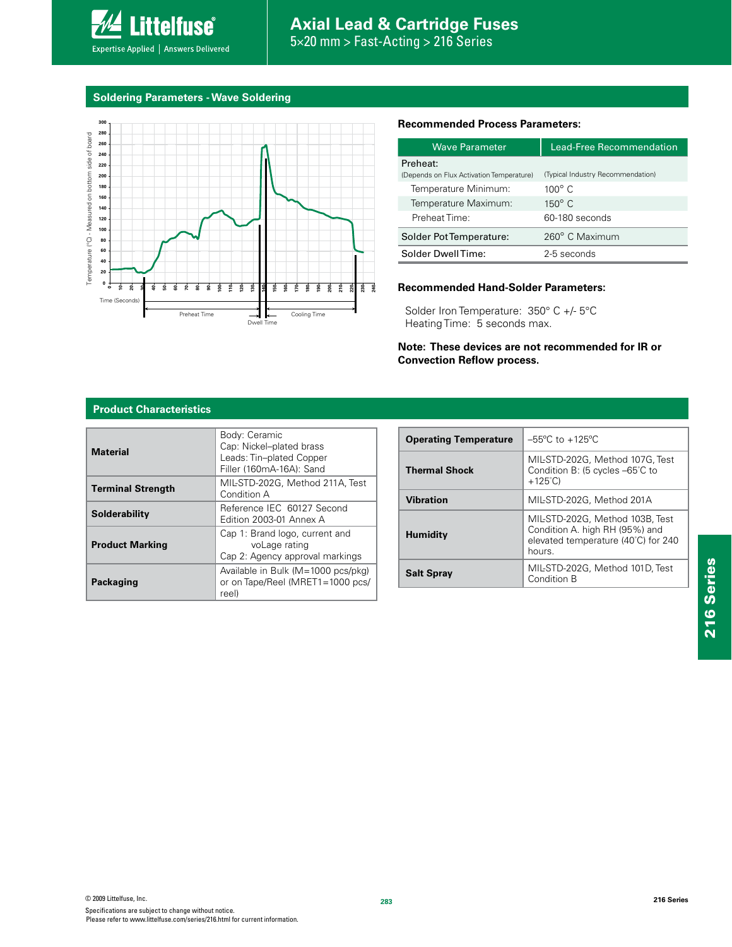**Soldering Parameters - Wave Soldering**

**Littelfuse**®

Expertise Applied | Answers Delivered



#### **Recommended Process Parameters:**

| <b>Wave Parameter</b>                                | <b>Lead-Eree Recommendation</b>   |  |  |  |
|------------------------------------------------------|-----------------------------------|--|--|--|
| Preheat:<br>(Depends on Flux Activation Temperature) | (Typical Industry Recommendation) |  |  |  |
| Temperature Minimum:                                 | $100^{\circ}$ C.                  |  |  |  |
| Temperature Maximum:                                 | $150^{\circ}$ C                   |  |  |  |
| Preheat Time:                                        | 60-180 seconds                    |  |  |  |
| Solder Pot Temperature:                              | 260° C Maximum                    |  |  |  |
| Solder DwellTime:                                    | 2-5 seconds                       |  |  |  |

#### **Recommended Hand-Solder Parameters:**

Solder Iron Temperature: 350° C +/- 5°C Heating Time: 5 seconds max.

**Note: These devices are not recommended for IR or Convection Reflow process.**

#### **Product Characteristics**

| <b>Material</b>          | Body: Ceramic<br>Cap: Nickel-plated brass<br>Leads: Tin-plated Copper<br>Filler (160mA-16A): Sand |
|--------------------------|---------------------------------------------------------------------------------------------------|
| <b>Terminal Strength</b> | MIL-STD-202G, Method 211A, Test<br>Condition A                                                    |
| <b>Solderability</b>     | Reference IEC 60127 Second<br>Edition 2003-01 Annex A                                             |
| <b>Product Marking</b>   | Cap 1: Brand logo, current and<br>voLage rating<br>Cap 2: Agency approval markings                |
| Packaging                | Available in Bulk (M=1000 pcs/pkg)<br>or on Tape/Reel (MRET1=1000 pcs/<br>reel)                   |

| <b>Operating Temperature</b> | $-55^{\circ}$ C to $+125^{\circ}$ C                                                                               |
|------------------------------|-------------------------------------------------------------------------------------------------------------------|
| <b>Thermal Shock</b>         | MIL-STD-202G, Method 107G, Test<br>Condition B: (5 cycles -65°C to<br>$+125^{\circ}$ C)                           |
| Vibration                    | MIL-STD-202G. Method 201A                                                                                         |
| <b>Humidity</b>              | MIL-STD-202G, Method 103B, Test<br>Condition A. high RH (95%) and<br>elevated temperature (40°C) for 240<br>hours |
| <b>Salt Spray</b>            | MIL-STD-202G, Method 101D, Test<br>Condition B                                                                    |